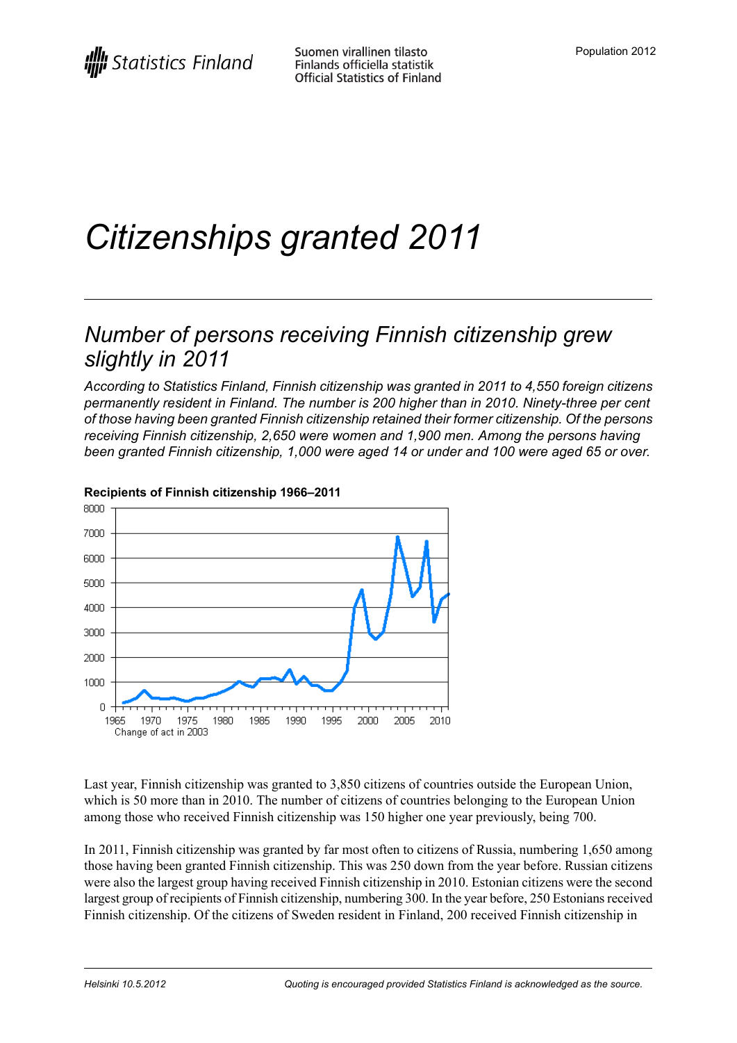# *Citizenships granted 2011*

## *Number of persons receiving Finnish citizenship grew slightly in 2011*

*According to Statistics Finland, Finnish citizenship was granted in 2011 to 4,550 foreign citizens permanently resident in Finland. The number is 200 higher than in 2010. Ninety-three per cent of those having been granted Finnish citizenship retained their former citizenship. Of the persons receiving Finnish citizenship, 2,650 were women and 1,900 men. Among the persons having been granted Finnish citizenship, 1,000 were aged 14 or under and 100 were aged 65 or over.*



#### **Recipients of Finnish citizenship 1966–2011**

Last year, Finnish citizenship was granted to 3,850 citizens of countries outside the European Union, which is 50 more than in 2010. The number of citizens of countries belonging to the European Union among those who received Finnish citizenship was 150 higher one year previously, being 700.

In 2011, Finnish citizenship was granted by far most often to citizens of Russia, numbering 1,650 among those having been granted Finnish citizenship. This was 250 down from the year before. Russian citizens were also the largest group having received Finnish citizenship in 2010. Estonian citizens were the second largest group of recipients of Finnish citizenship, numbering 300. In the year before, 250 Estonians received Finnish citizenship. Of the citizens of Sweden resident in Finland, 200 received Finnish citizenship in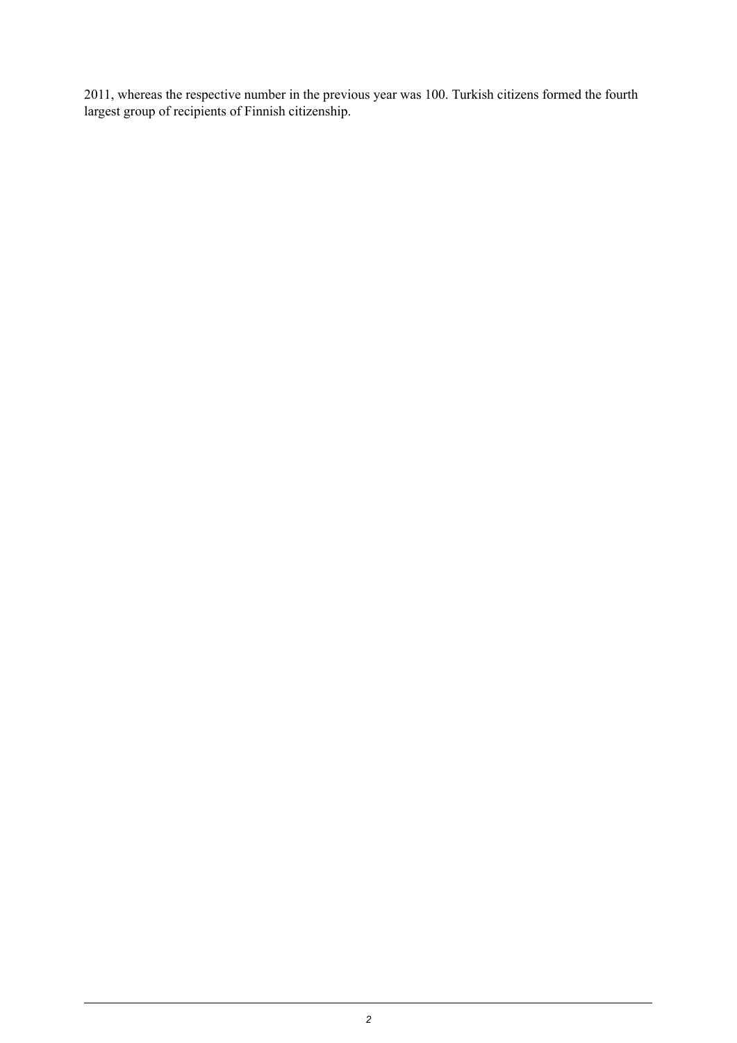2011, whereas the respective number in the previous year was 100. Turkish citizens formed the fourth largest group of recipients of Finnish citizenship.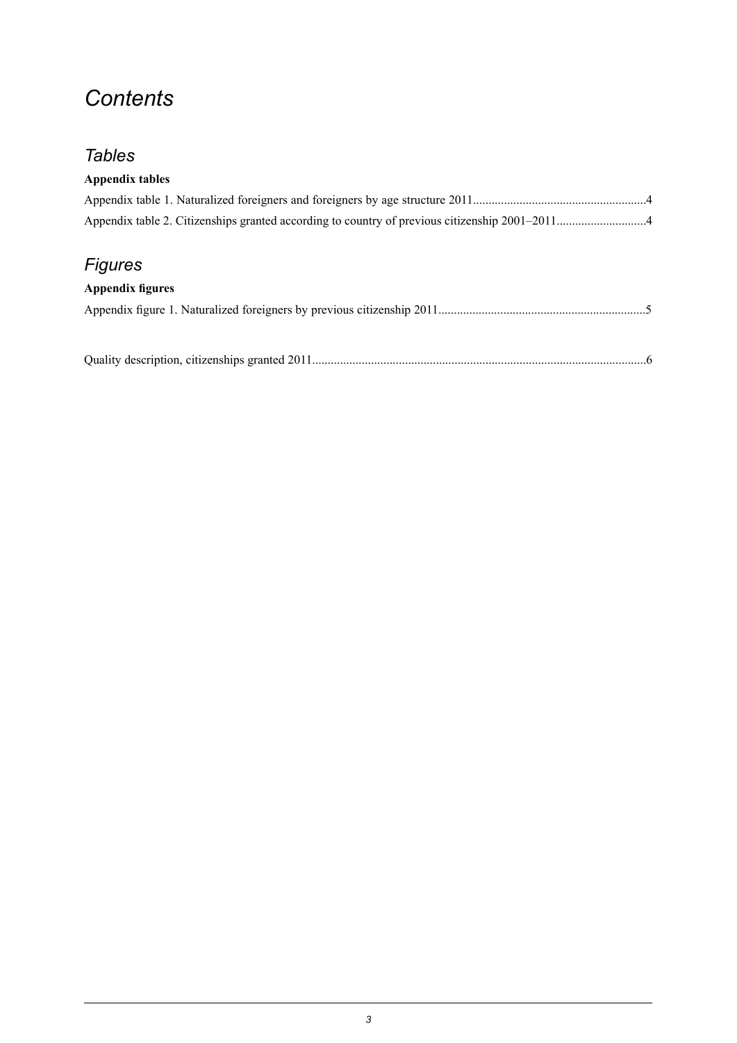## *Contents*

## *Tables*

#### **Appendix tables**

## *Figures*

#### **Appendix figures**

Quality description, citizenships granted [2011............................................................................................................6](#page-5-0)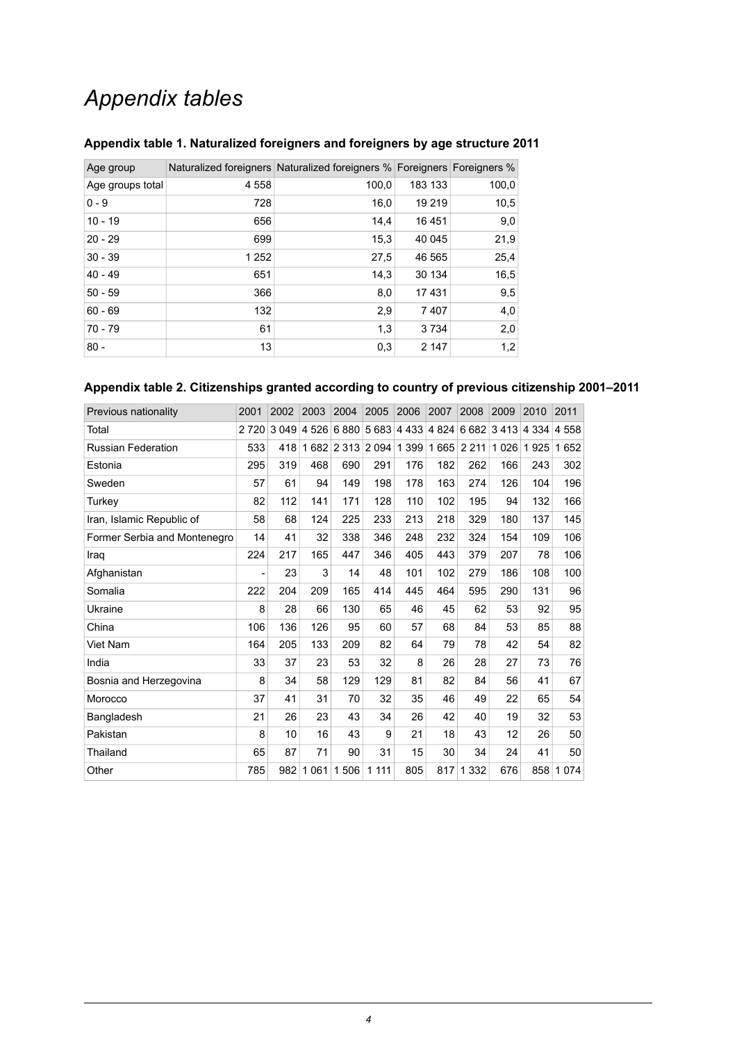## *Appendix tables*

| Age group        |       | Naturalized foreigners Naturalized foreigners % Foreigners Foreigners % |         |       |
|------------------|-------|-------------------------------------------------------------------------|---------|-------|
| Age groups total | 4558  | 100,0                                                                   | 183 133 | 100,0 |
| $0 - 9$          | 728   | 16,0                                                                    | 19 219  | 10,5  |
| $10 - 19$        | 656   | 14,4                                                                    | 16 4 51 | 9,0   |
| $20 - 29$        | 699   | 15,3                                                                    | 40 045  | 21,9  |
| $30 - 39$        | 1 252 | 27,5                                                                    | 46 565  | 25,4  |
| $40 - 49$        | 651   | 14,3                                                                    | 30 134  | 16,5  |
| $50 - 59$        | 366   | 8,0                                                                     | 17431   | 9,5   |
| $60 - 69$        | 132   | 2,9                                                                     | 7407    | 4,0   |
| 70 - 79          | 61    | 1,3                                                                     | 3 7 3 4 | 2,0   |
| $80 -$           | 13    | 0,3                                                                     | 2 1 4 7 | 1,2   |

#### <span id="page-3-0"></span>**Appendix table 1. Naturalized foreigners and foreigners by age structure 2011**

#### <span id="page-3-1"></span>**Appendix table 2. Citizenships granted according to country of previous citizenship 2001–2011**

| Previous nationality         | 2001    | 2002    | 2003    | 2004      | 2005    | 2006        | 2007 | 2008                | 2009              | 2010    | 2011     |
|------------------------------|---------|---------|---------|-----------|---------|-------------|------|---------------------|-------------------|---------|----------|
| Total                        | 2 7 2 0 | 3 0 4 9 | 4 5 2 6 | 6880      |         | 5 683 4 433 |      |                     | 4 824 6 682 3 413 | 4 3 3 4 | 4 5 5 8  |
| <b>Russian Federation</b>    | 533     | 418     |         | 1682 2313 | 2 0 9 4 | 1 3 9 9     | 1665 | 2 2 1 1             | 1 0 2 6           | 1925    | 652<br>1 |
| Estonia                      | 295     | 319     | 468     | 690       | 291     | 176         | 182  | 262                 | 166               | 243     | 302      |
| Sweden                       | 57      | 61      | 94      | 149       | 198     | 178         | 163  | 274                 | 126               | 104     | 196      |
| Turkev                       | 82      | 112     | 141     | 171       | 128     | 110         | 102  | 195                 | 94                | 132     | 166      |
| Iran, Islamic Republic of    | 58      | 68      | 124     | 225       | 233     | 213         | 218  | 329                 | 180               | 137     | 145      |
| Former Serbia and Montenegro | 14      | 41      | 32      | 338       | 346     | 248         | 232  | 324                 | 154               | 109     | 106      |
| Iraq                         | 224     | 217     | 165     | 447       | 346     | 405         | 443  | 379                 | 207               | 78      | 106      |
| Afghanistan                  |         | 23      | 3       | 14        | 48      | 101         | 102  | 279                 | 186               | 108     | 100      |
| Somalia                      | 222     | 204     | 209     | 165       | 414     | 445         | 464  | 595                 | 290               | 131     | 96       |
| Ukraine                      | 8       | 28      | 66      | 130       | 65      | 46          | 45   | 62                  | 53                | 92      | 95       |
| China                        | 106     | 136     | 126     | 95        | 60      | 57          | 68   | 84                  | 53                | 85      | 88       |
| Viet Nam                     | 164     | 205     | 133     | 209       | 82      | 64          | 79   | 78                  | 42                | 54      | 82       |
| India                        | 33      | 37      | 23      | 53        | 32      | 8           | 26   | 28                  | 27                | 73      | 76       |
| Bosnia and Herzegovina       | 8       | 34      | 58      | 129       | 129     | 81          | 82   | 84                  | 56                | 41      | 67       |
| Morocco                      | 37      | 41      | 31      | 70        | 32      | 35          | 46   | 49                  | 22                | 65      | 54       |
| Bangladesh                   | 21      | 26      | 23      | 43        | 34      | 26          | 42   | 40                  | 19                | 32      | 53       |
| Pakistan                     | 8       | 10      | 16      | 43        | 9       | 21          | 18   | 43                  | 12                | 26      | 50       |
| Thailand                     | 65      | 87      | 71      | 90        | 31      | 15          | 30   | 34                  | 24                | 41      | 50       |
| Other                        | 785     | 982     | 1061    | 1506      | 1 1 1 1 | 805         | 817  | 332<br>$\mathbf{1}$ | 676               | 858     | 1074     |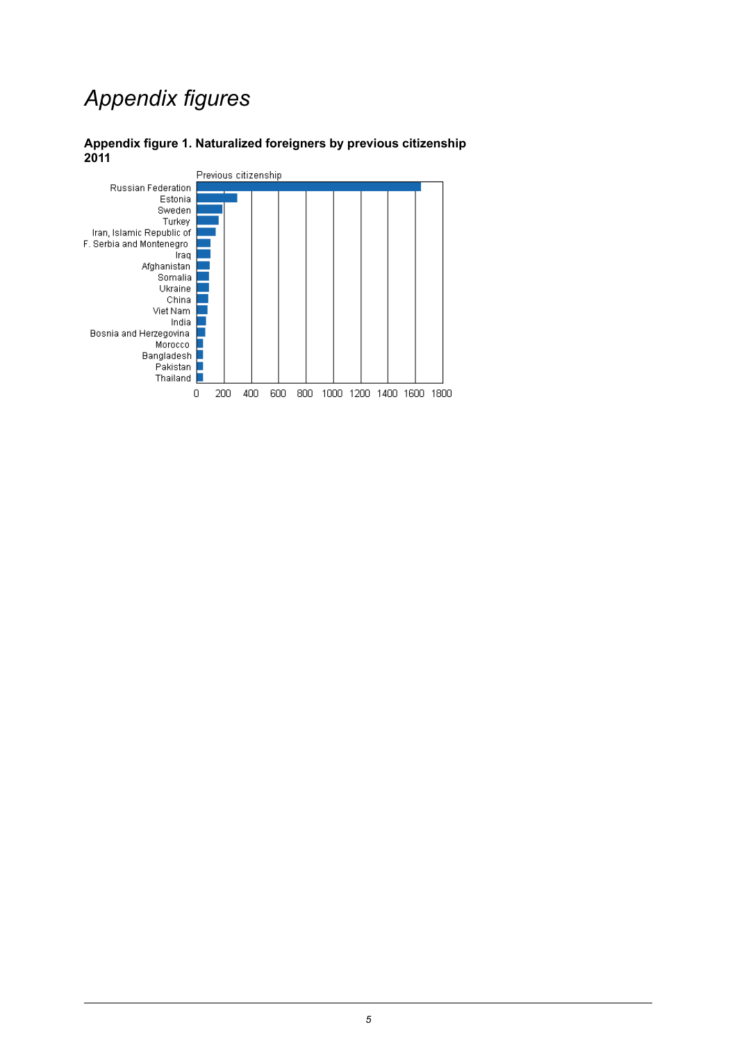## *Appendix figures*

#### <span id="page-4-0"></span>**Appendix figure 1. Naturalized foreigners by previous citizenship 2011**

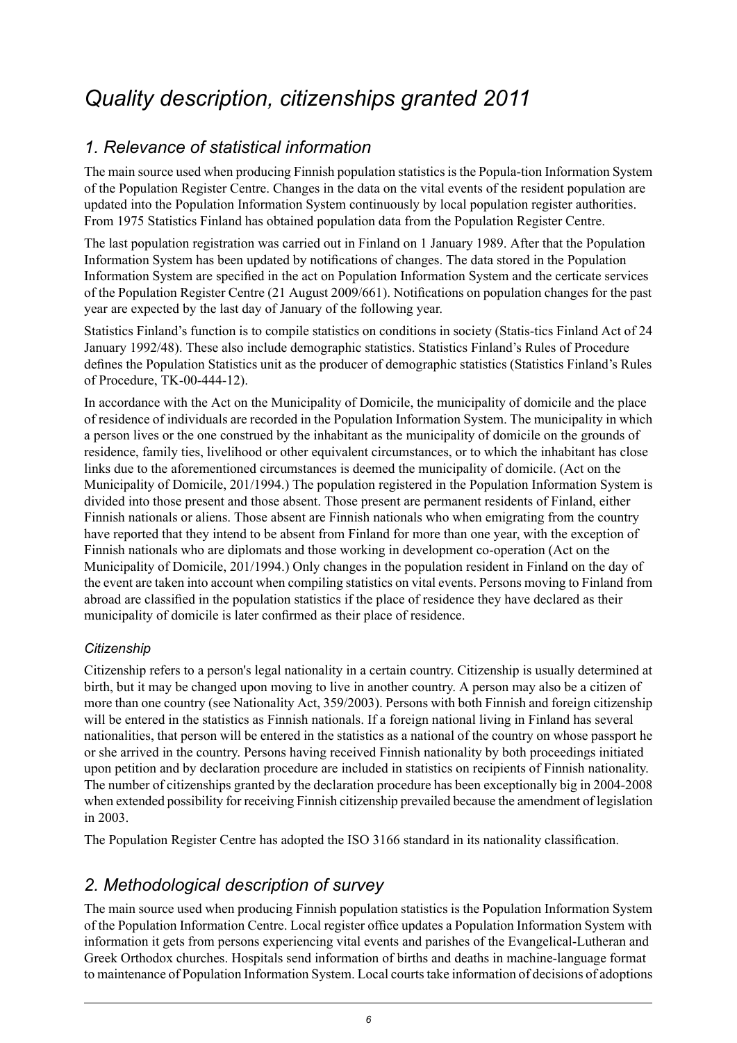## <span id="page-5-0"></span>*Quality description, citizenships granted 2011*

## *1. Relevance of statistical information*

The main source used when producing Finnish population statistics is the Popula-tion Information System of the Population Register Centre. Changes in the data on the vital events of the resident population are updated into the Population Information System continuously by local population register authorities. From 1975 Statistics Finland has obtained population data from the Population Register Centre.

The last population registration was carried out in Finland on 1 January 1989. After that the Population Information System has been updated by notifications of changes. The data stored in the Population Information System are specified in the act on Population Information System and the certicate services of the Population Register Centre (21 August 2009/661). Notifications on population changes for the past year are expected by the last day of January of the following year.

Statistics Finland's function is to compile statistics on conditions in society (Statis-tics Finland Act of 24 January 1992/48). These also include demographic statistics. Statistics Finland's Rules of Procedure defines the Population Statistics unit as the producer of demographic statistics (Statistics Finland's Rules of Procedure, TK-00-444-12).

In accordance with the Act on the Municipality of Domicile, the municipality of domicile and the place of residence of individuals are recorded in the Population Information System. The municipality in which a person lives or the one construed by the inhabitant as the municipality of domicile on the grounds of residence, family ties, livelihood or other equivalent circumstances, or to which the inhabitant has close links due to the aforementioned circumstances is deemed the municipality of domicile. (Act on the Municipality of Domicile, 201/1994.) The population registered in the Population Information System is divided into those present and those absent. Those present are permanent residents of Finland, either Finnish nationals or aliens. Those absent are Finnish nationals who when emigrating from the country have reported that they intend to be absent from Finland for more than one year, with the exception of Finnish nationals who are diplomats and those working in development co-operation (Act on the Municipality of Domicile, 201/1994.) Only changes in the population resident in Finland on the day of the event are taken into account when compiling statistics on vital events. Persons moving to Finland from abroad are classified in the population statistics if the place of residence they have declared as their municipality of domicile is later confirmed as their place of residence.

#### *Citizenship*

Citizenship refers to a person's legal nationality in a certain country. Citizenship is usually determined at birth, but it may be changed upon moving to live in another country. A person may also be a citizen of more than one country (see Nationality Act, 359/2003). Persons with both Finnish and foreign citizenship will be entered in the statistics as Finnish nationals. If a foreign national living in Finland has several nationalities, that person will be entered in the statistics as a national of the country on whose passport he or she arrived in the country. Persons having received Finnish nationality by both proceedings initiated upon petition and by declaration procedure are included in statistics on recipients of Finnish nationality. The number of citizenships granted by the declaration procedure has been exceptionally big in 2004-2008 when extended possibility for receiving Finnish citizenship prevailed because the amendment of legislation in 2003.

The Population Register Centre has adopted the ISO 3166 standard in its nationality classification.

## *2. Methodological description of survey*

The main source used when producing Finnish population statistics is the Population Information System of the Population Information Centre. Local register office updates a Population Information System with information it gets from persons experiencing vital events and parishes of the Evangelical-Lutheran and Greek Orthodox churches. Hospitals send information of births and deaths in machine-language format to maintenance of Population Information System. Local courts take information of decisions of adoptions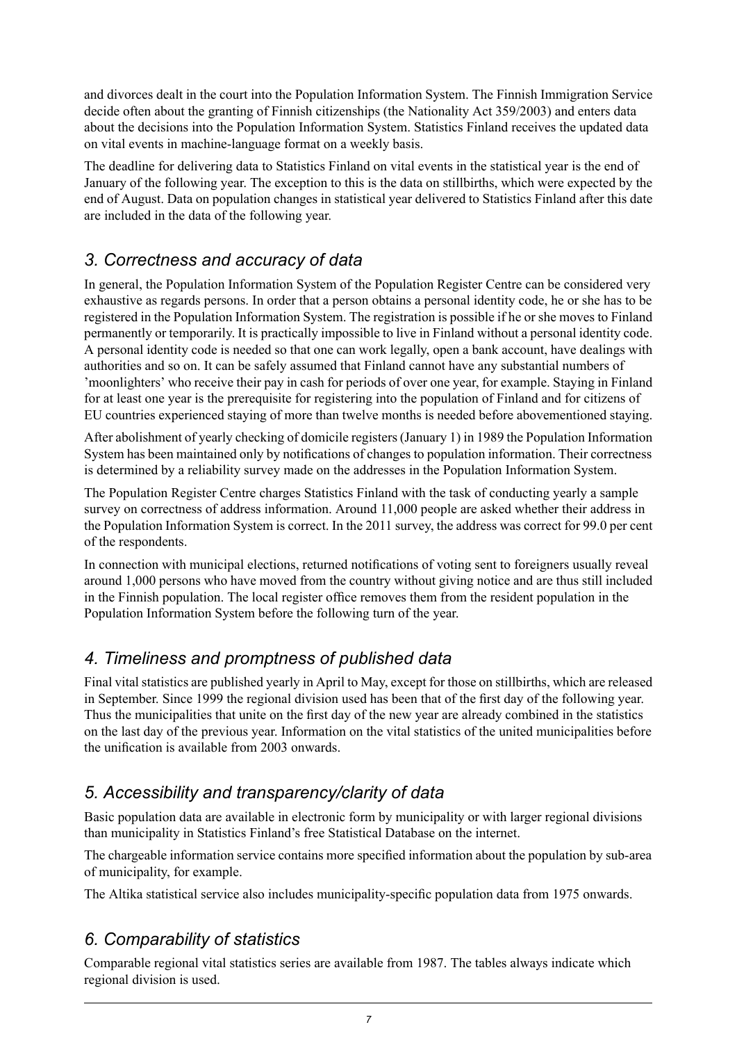and divorces dealt in the court into the Population Information System. The Finnish Immigration Service decide often about the granting of Finnish citizenships (the Nationality Act 359/2003) and enters data about the decisions into the Population Information System. Statistics Finland receives the updated data on vital events in machine-language format on a weekly basis.

The deadline for delivering data to Statistics Finland on vital events in the statistical year is the end of January of the following year. The exception to this is the data on stillbirths, which were expected by the end of August. Data on population changes in statistical year delivered to Statistics Finland after this date are included in the data of the following year.

## *3. Correctness and accuracy of data*

In general, the Population Information System of the Population Register Centre can be considered very exhaustive as regards persons. In order that a person obtains a personal identity code, he or she has to be registered in the Population Information System. The registration is possible if he or she moves to Finland permanently or temporarily. It is practically impossible to live in Finland without a personal identity code. A personal identity code is needed so that one can work legally, open a bank account, have dealings with authorities and so on. It can be safely assumed that Finland cannot have any substantial numbers of 'moonlighters' who receive their pay in cash for periods of over one year, for example. Staying in Finland for at least one year is the prerequisite for registering into the population of Finland and for citizens of EU countries experienced staying of more than twelve months is needed before abovementioned staying.

After abolishment of yearly checking of domicile registers (January 1) in 1989 the Population Information System has been maintained only by notifications of changes to population information. Their correctness is determined by a reliability survey made on the addresses in the Population Information System.

The Population Register Centre charges Statistics Finland with the task of conducting yearly a sample survey on correctness of address information. Around 11,000 people are asked whether their address in the Population Information System is correct. In the 2011 survey, the address was correct for 99.0 per cent of the respondents.

In connection with municipal elections, returned notifications of voting sent to foreigners usually reveal around 1,000 persons who have moved from the country without giving notice and are thus still included in the Finnish population. The local register office removes them from the resident population in the Population Information System before the following turn of the year.

## *4. Timeliness and promptness of published data*

Final vital statistics are published yearly in April to May, except for those on stillbirths, which are released in September. Since 1999 the regional division used has been that of the first day of the following year. Thus the municipalities that unite on the first day of the new year are already combined in the statistics on the last day of the previous year. Information on the vital statistics of the united municipalities before the unification is available from 2003 onwards.

## *5. Accessibility and transparency/clarity of data*

Basic population data are available in electronic form by municipality or with larger regional divisions than municipality in Statistics Finland's free Statistical Database on the internet.

The chargeable information service contains more specified information about the population by sub-area of municipality, for example.

The Altika statistical service also includes municipality-specific population data from 1975 onwards.

## *6. Comparability of statistics*

Comparable regional vital statistics series are available from 1987. The tables always indicate which regional division is used.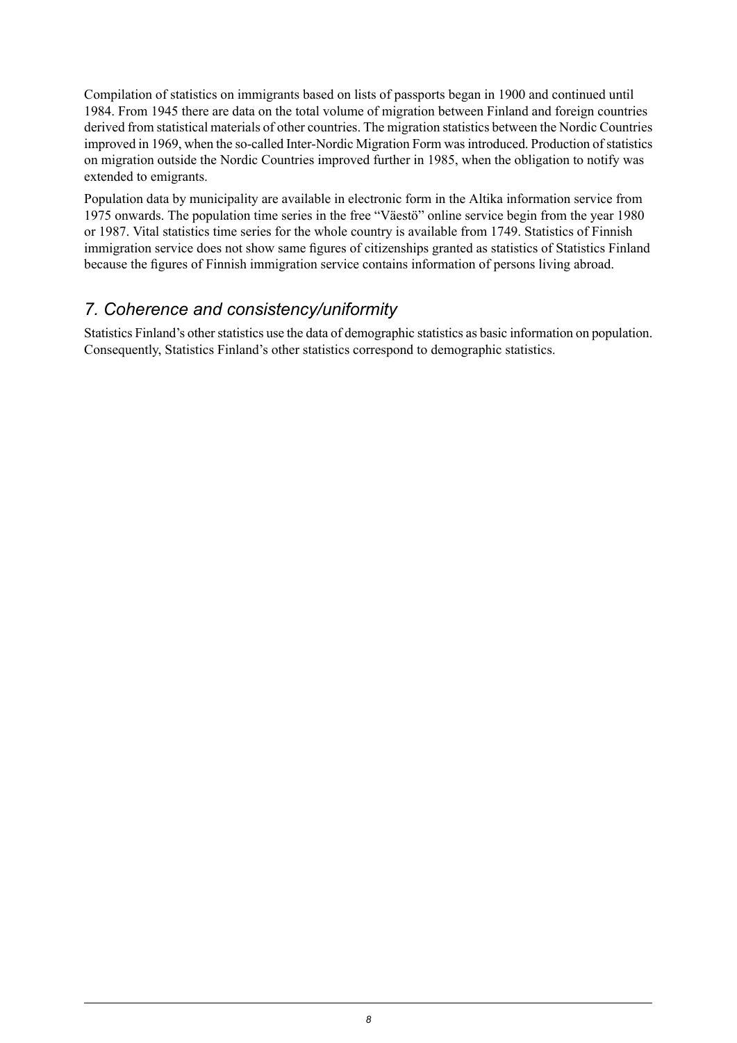Compilation of statistics on immigrants based on lists of passports began in 1900 and continued until 1984. From 1945 there are data on the total volume of migration between Finland and foreign countries derived from statistical materials of other countries. The migration statistics between the Nordic Countries improved in 1969, when the so-called Inter-Nordic Migration Form was introduced. Production of statistics on migration outside the Nordic Countries improved further in 1985, when the obligation to notify was extended to emigrants.

Population data by municipality are available in electronic form in the Altika information service from 1975 onwards. The population time series in the free "Väestö" online service begin from the year 1980 or 1987. Vital statistics time series for the whole country is available from 1749. Statistics of Finnish immigration service does not show same figures of citizenships granted as statistics of Statistics Finland because the figures of Finnish immigration service contains information of persons living abroad.

### *7. Coherence and consistency/uniformity*

Statistics Finland's other statistics use the data of demographic statistics as basic information on population. Consequently, Statistics Finland's other statistics correspond to demographic statistics.